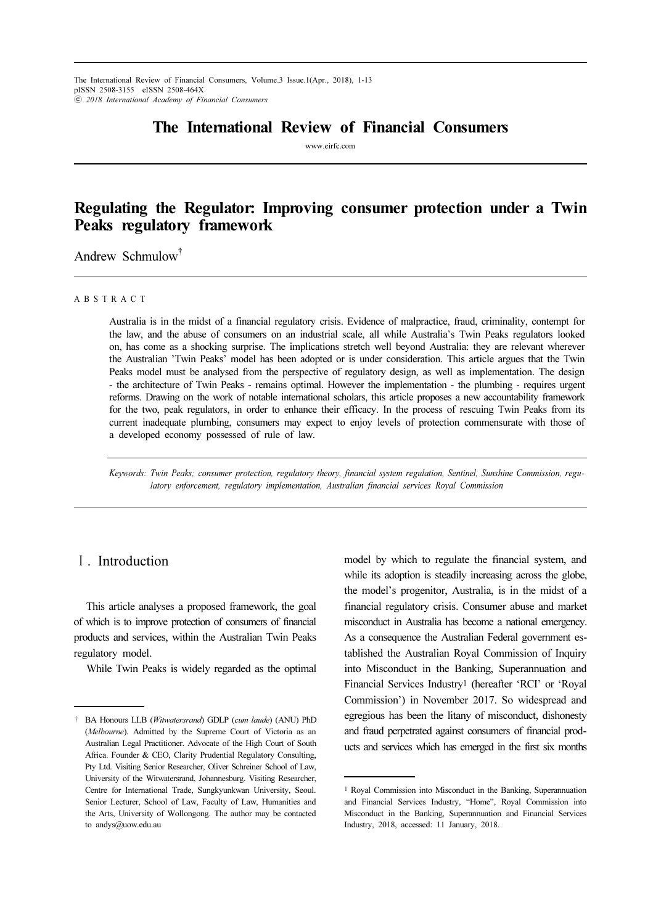## The International Review of Financial Consumers

www.eirfc.com

# Regulating the Regulator: Improving consumer protection under a Twin Peaks regulatory framework

Andrew Schmulow<sup>†</sup>

#### A B S T R A C T

Australia is in the midst of a financial regulatory crisis. Evidence of malpractice, fraud, criminality, contempt for the law, and the abuse of consumers on an industrial scale, all while Australia's Twin Peaks regulators looked on, has come as a shocking surprise. The implications stretch well beyond Australia: they are relevant wherever the Australian 'Twin Peaks' model has been adopted or is under consideration. This article argues that the Twin Peaks model must be analysed from the perspective of regulatory design, as well as implementation. The design - the architecture of Twin Peaks - remains optimal. However the implementation - the plumbing - requires urgent reforms. Drawing on the work of notable international scholars, this article proposes a new accountability framework for the two, peak regulators, in order to enhance their efficacy. In the process of rescuing Twin Peaks from its current inadequate plumbing, consumers may expect to enjoy levels of protection commensurate with those of a developed economy possessed of rule of law.

Keywords: Twin Peaks; consumer protection, regulatory theory, financial system regulation, Sentinel, Sunshine Commission, regulatory enforcement, regulatory implementation, Australian financial services Royal Commission

#### Ⅰ. Introduction

This article analyses a proposed framework, the goal of which is to improve protection of consumers of financial products and services, within the Australian Twin Peaks regulatory model.

While Twin Peaks is widely regarded as the optimal

model by which to regulate the financial system, and while its adoption is steadily increasing across the globe, the model's progenitor, Australia, is in the midst of a financial regulatory crisis. Consumer abuse and market misconduct in Australia has become a national emergency. As a consequence the Australian Federal government established the Australian Royal Commission of Inquiry into Misconduct in the Banking, Superannuation and Financial Services Industry1 (hereafter 'RCI' or 'Royal Commission') in November 2017. So widespread and egregious has been the litany of misconduct, dishonesty and fraud perpetrated against consumers of financial products and services which has emerged in the first six months

<sup>†</sup> BA Honours LLB (Witwatersrand) GDLP (cum laude) (ANU) PhD (Melbourne). Admitted by the Supreme Court of Victoria as an Australian Legal Practitioner. Advocate of the High Court of South Africa. Founder & CEO, Clarity Prudential Regulatory Consulting, Pty Ltd. Visiting Senior Researcher, Oliver Schreiner School of Law, University of the Witwatersrand, Johannesburg. Visiting Researcher, Centre for International Trade, Sungkyunkwan University, Seoul. Senior Lecturer, School of Law, Faculty of Law, Humanities and the Arts, University of Wollongong. The author may be contacted to andys@uow.edu.au

<sup>1</sup> Royal Commission into Misconduct in the Banking, Superannuation and Financial Services Industry, "Home", Royal Commission into Misconduct in the Banking, Superannuation and Financial Services Industry, 2018, accessed: 11 January, 2018.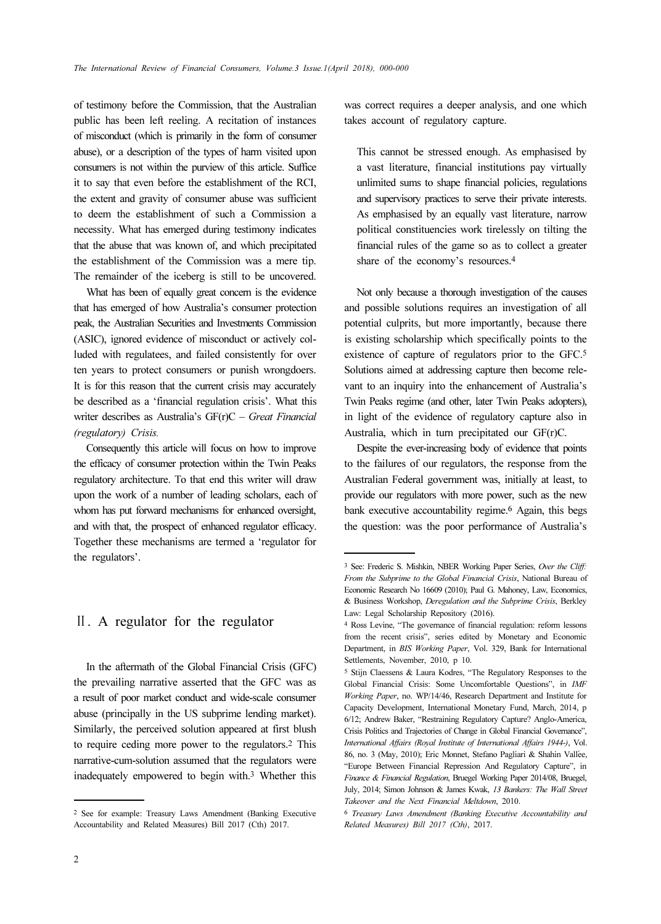of testimony before the Commission, that the Australian public has been left reeling. A recitation of instances of misconduct (which is primarily in the form of consumer abuse), or a description of the types of harm visited upon consumers is not within the purview of this article. Suffice it to say that even before the establishment of the RCI, the extent and gravity of consumer abuse was sufficient to deem the establishment of such a Commission a necessity. What has emerged during testimony indicates that the abuse that was known of, and which precipitated the establishment of the Commission was a mere tip. The remainder of the iceberg is still to be uncovered.

What has been of equally great concern is the evidence that has emerged of how Australia's consumer protection peak, the Australian Securities and Investments Commission (ASIC), ignored evidence of misconduct or actively colluded with regulatees, and failed consistently for over ten years to protect consumers or punish wrongdoers. It is for this reason that the current crisis may accurately be described as a 'financial regulation crisis'. What this writer describes as Australia's GF(r)C - Great Financial (regulatory) Crisis.

Consequently this article will focus on how to improve the efficacy of consumer protection within the Twin Peaks regulatory architecture. To that end this writer will draw upon the work of a number of leading scholars, each of whom has put forward mechanisms for enhanced oversight, and with that, the prospect of enhanced regulator efficacy. Together these mechanisms are termed a 'regulator for the regulators'.

#### Ⅱ. A regulator for the regulator

In the aftermath of the Global Financial Crisis (GFC) the prevailing narrative asserted that the GFC was as a result of poor market conduct and wide-scale consumer abuse (principally in the US subprime lending market). Similarly, the perceived solution appeared at first blush to require ceding more power to the regulators.2 This narrative-cum-solution assumed that the regulators were inadequately empowered to begin with.3 Whether this

was correct requires a deeper analysis, and one which takes account of regulatory capture.

This cannot be stressed enough. As emphasised by a vast literature, financial institutions pay virtually unlimited sums to shape financial policies, regulations and supervisory practices to serve their private interests. As emphasised by an equally vast literature, narrow political constituencies work tirelessly on tilting the financial rules of the game so as to collect a greater share of the economy's resources.<sup>4</sup>

Not only because a thorough investigation of the causes and possible solutions requires an investigation of all potential culprits, but more importantly, because there is existing scholarship which specifically points to the existence of capture of regulators prior to the GFC.<sup>5</sup> Solutions aimed at addressing capture then become relevant to an inquiry into the enhancement of Australia's Twin Peaks regime (and other, later Twin Peaks adopters), in light of the evidence of regulatory capture also in Australia, which in turn precipitated our GF(r)C.

Despite the ever-increasing body of evidence that points to the failures of our regulators, the response from the Australian Federal government was, initially at least, to provide our regulators with more power, such as the new bank executive accountability regime.6 Again, this begs the question: was the poor performance of Australia's

<sup>2</sup> See for example: Treasury Laws Amendment (Banking Executive Accountability and Related Measures) Bill 2017 (Cth) 2017.

<sup>3</sup> See: Frederic S. Mishkin, NBER Working Paper Series, Over the Cliff: From the Subprime to the Global Financial Crisis, National Bureau of Economic Research No 16609 (2010); Paul G. Mahoney, Law, Economics, & Business Workshop, Deregulation and the Subprime Crisis, Berkley Law: Legal Scholarship Repository (2016).

<sup>4</sup> Ross Levine, "The governance of financial regulation: reform lessons from the recent crisis", series edited by Monetary and Economic Department, in BIS Working Paper, Vol. 329, Bank for International Settlements, November, 2010, p 10.

<sup>5</sup> Stijn Claessens & Laura Kodres, "The Regulatory Responses to the Global Financial Crisis: Some Uncomfortable Questions", in IMF Working Paper, no. WP/14/46, Research Department and Institute for Capacity Development, International Monetary Fund, March, 2014, p 6/12; Andrew Baker, "Restraining Regulatory Capture? Anglo-America, Crisis Politics and Trajectories of Change in Global Financial Governance", International Affairs (Royal Institute of International Affairs 1944-), Vol. 86, no. 3 (May, 2010); Eric Monnet, Stefano Pagliari & Shahin Vallée, "Europe Between Financial Repression And Regulatory Capture", in Finance & Financial Regulation, Bruegel Working Paper 2014/08, Bruegel, July, 2014; Simon Johnson & James Kwak, 13 Bankers: The Wall Street Takeover and the Next Financial Meltdown, 2010.

<sup>6</sup> Treasury Laws Amendment (Banking Executive Accountability and Related Measures) Bill 2017 (Cth), 2017.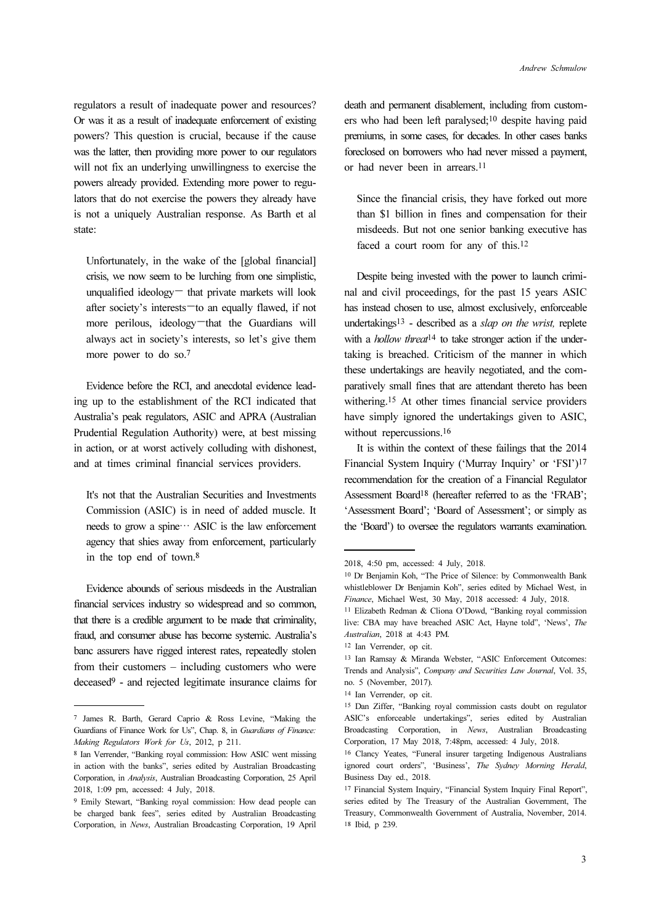regulators a result of inadequate power and resources? Or was it as a result of inadequate enforcement of existing powers? This question is crucial, because if the cause was the latter, then providing more power to our regulators will not fix an underlying unwillingness to exercise the powers already provided. Extending more power to regulators that do not exercise the powers they already have is not a uniquely Australian response. As Barth et al state:

Unfortunately, in the wake of the [global financial] crisis, we now seem to be lurching from one simplistic, unqualified ideology— that private markets will look after society's interests—to an equally flawed, if not more perilous, ideology—that the Guardians will always act in society's interests, so let's give them more power to do so.<sup>7</sup>

Evidence before the RCI, and anecdotal evidence leading up to the establishment of the RCI indicated that Australia's peak regulators, ASIC and APRA (Australian Prudential Regulation Authority) were, at best missing in action, or at worst actively colluding with dishonest, and at times criminal financial services providers.

It's not that the Australian Securities and Investments Commission (ASIC) is in need of added muscle. It needs to grow a spine… ASIC is the law enforcement agency that shies away from enforcement, particularly in the top end of town.<sup>8</sup>

Evidence abounds of serious misdeeds in the Australian financial services industry so widespread and so common, that there is a credible argument to be made that criminality, fraud, and consumer abuse has become systemic. Australia's banc assurers have rigged interest rates, repeatedly stolen from their customers – including customers who were deceased9 - and rejected legitimate insurance claims for

death and permanent disablement, including from customers who had been left paralysed;10 despite having paid premiums, in some cases, for decades. In other cases banks foreclosed on borrowers who had never missed a payment, or had never been in arrears.<sup>11</sup>

Since the financial crisis, they have forked out more than \$1 billion in fines and compensation for their misdeeds. But not one senior banking executive has faced a court room for any of this.<sup>12</sup>

Despite being invested with the power to launch criminal and civil proceedings, for the past 15 years ASIC has instead chosen to use, almost exclusively, enforceable undertakings13 - described as a slap on the wrist, replete with a *hollow threat*<sup>14</sup> to take stronger action if the undertaking is breached. Criticism of the manner in which these undertakings are heavily negotiated, and the comparatively small fines that are attendant thereto has been withering.15 At other times financial service providers have simply ignored the undertakings given to ASIC, without repercussions.<sup>16</sup>

It is within the context of these failings that the 2014 Financial System Inquiry ('Murray Inquiry' or 'FSI')<sup>17</sup> recommendation for the creation of a Financial Regulator Assessment Board18 (hereafter referred to as the 'FRAB'; 'Assessment Board'; 'Board of Assessment'; or simply as the 'Board') to oversee the regulators warrants examination.

<sup>7</sup> James R. Barth, Gerard Caprio & Ross Levine, "Making the Guardians of Finance Work for Us", Chap. 8, in Guardians of Finance: Making Regulators Work for Us, 2012, p 211.

<sup>8</sup> Ian Verrender, "Banking royal commission: How ASIC went missing in action with the banks", series edited by Australian Broadcasting Corporation, in Analysis, Australian Broadcasting Corporation, 25 April 2018, 1:09 pm, accessed: 4 July, 2018.

<sup>9</sup> Emily Stewart, "Banking royal commission: How dead people can be charged bank fees", series edited by Australian Broadcasting Corporation, in News, Australian Broadcasting Corporation, 19 April

<sup>2018, 4:50</sup> pm, accessed: 4 July, 2018.

<sup>10</sup> Dr Benjamin Koh, "The Price of Silence: by Commonwealth Bank whistleblower Dr Benjamin Koh", series edited by Michael West, in Finance, Michael West, 30 May, 2018 accessed: 4 July, 2018.

<sup>11</sup> Elizabeth Redman & Cliona O'Dowd, "Banking royal commission live: CBA may have breached ASIC Act, Hayne told", 'News', The Australian, 2018 at 4:43 PM.

<sup>12</sup> Ian Verrender, op cit.

<sup>13</sup> Ian Ramsay & Miranda Webster, "ASIC Enforcement Outcomes: Trends and Analysis", Company and Securities Law Journal, Vol. 35, no. 5 (November, 2017).

<sup>14</sup> Ian Verrender, op cit.

<sup>15</sup> Dan Ziffer, "Banking royal commission casts doubt on regulator ASIC's enforceable undertakings", series edited by Australian Broadcasting Corporation, in News, Australian Broadcasting Corporation, 17 May 2018, 7:48pm, accessed: 4 July, 2018.

<sup>16</sup> Clancy Yeates, "Funeral insurer targeting Indigenous Australians ignored court orders", 'Business', The Sydney Morning Herald, Business Day ed., 2018.

<sup>17</sup> Financial System Inquiry, "Financial System Inquiry Final Report", series edited by The Treasury of the Australian Government, The Treasury, Commonwealth Government of Australia, November, 2014. <sup>18</sup> Ibid, p 239.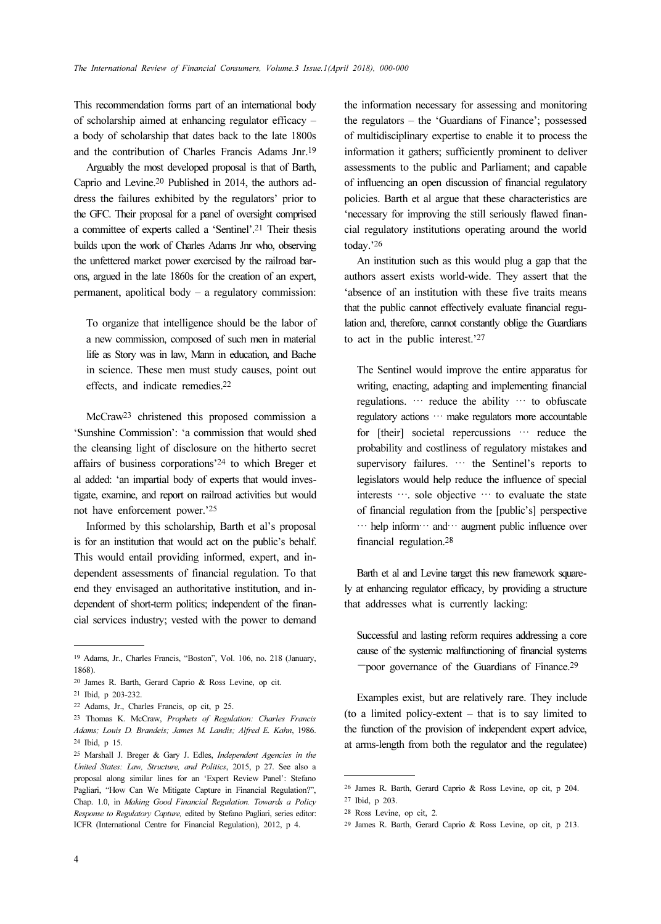This recommendation forms part of an international body of scholarship aimed at enhancing regulator efficacy – a body of scholarship that dates back to the late 1800s and the contribution of Charles Francis Adams Jnr.<sup>19</sup>

Arguably the most developed proposal is that of Barth, Caprio and Levine.20 Published in 2014, the authors address the failures exhibited by the regulators' prior to the GFC. Their proposal for a panel of oversight comprised a committee of experts called a 'Sentinel'.21 Their thesis builds upon the work of Charles Adams Jnr who, observing the unfettered market power exercised by the railroad barons, argued in the late 1860s for the creation of an expert, permanent, apolitical body – a regulatory commission:

To organize that intelligence should be the labor of a new commission, composed of such men in material life as Story was in law, Mann in education, and Bache in science. These men must study causes, point out effects, and indicate remedies.<sup>22</sup>

McCraw23 christened this proposed commission a 'Sunshine Commission': 'a commission that would shed the cleansing light of disclosure on the hitherto secret affairs of business corporations'24 to which Breger et al added: 'an impartial body of experts that would investigate, examine, and report on railroad activities but would not have enforcement power.'<sup>25</sup>

Informed by this scholarship, Barth et al's proposal is for an institution that would act on the public's behalf. This would entail providing informed, expert, and independent assessments of financial regulation. To that end they envisaged an authoritative institution, and independent of short-term politics; independent of the financial services industry; vested with the power to demand

the information necessary for assessing and monitoring the regulators – the 'Guardians of Finance'; possessed of multidisciplinary expertise to enable it to process the information it gathers; sufficiently prominent to deliver assessments to the public and Parliament; and capable of influencing an open discussion of financial regulatory policies. Barth et al argue that these characteristics are 'necessary for improving the still seriously flawed financial regulatory institutions operating around the world today.'<sup>26</sup>

An institution such as this would plug a gap that the authors assert exists world-wide. They assert that the 'absence of an institution with these five traits means that the public cannot effectively evaluate financial regulation and, therefore, cannot constantly oblige the Guardians to act in the public interest.'<sup>27</sup>

The Sentinel would improve the entire apparatus for writing, enacting, adapting and implementing financial regulations. … reduce the ability … to obfuscate regulatory actions … make regulators more accountable for [their] societal repercussions … reduce the probability and costliness of regulatory mistakes and supervisory failures. … the Sentinel's reports to legislators would help reduce the influence of special interests …. sole objective … to evaluate the state of financial regulation from the [public's] perspective … help inform… and… augment public influence over financial regulation.<sup>28</sup>

Barth et al and Levine target this new framework squarely at enhancing regulator efficacy, by providing a structure that addresses what is currently lacking:

Successful and lasting reform requires addressing a core cause of the systemic malfunctioning of financial systems —poor governance of the Guardians of Finance.<sup>29</sup>

Examples exist, but are relatively rare. They include (to a limited policy-extent – that is to say limited to the function of the provision of independent expert advice, at arms-length from both the regulator and the regulatee)

<sup>19</sup> Adams, Jr., Charles Francis, "Boston", Vol. 106, no. 218 (January, 1868).

<sup>20</sup> James R. Barth, Gerard Caprio & Ross Levine, op cit.

<sup>21</sup> Ibid, p 203-232.

<sup>22</sup> Adams, Jr., Charles Francis, op cit, p 25.

<sup>23</sup> Thomas K. McCraw, Prophets of Regulation: Charles Francis Adams; Louis D. Brandeis; James M. Landis; Alfred E. Kahn, 1986. <sup>24</sup> Ibid, p 15.

<sup>25</sup> Marshall J. Breger & Gary J. Edles, Independent Agencies in the United States: Law, Structure, and Politics, 2015, p 27. See also a proposal along similar lines for an 'Expert Review Panel': Stefano Pagliari, "How Can We Mitigate Capture in Financial Regulation?", Chap. 1.0, in Making Good Financial Regulation. Towards a Policy Response to Regulatory Capture, edited by Stefano Pagliari, series editor: ICFR (International Centre for Financial Regulation), 2012, p 4.

<sup>26</sup> James R. Barth, Gerard Caprio & Ross Levine, op cit, p 204.

<sup>27</sup> Ibid, p 203.

<sup>28</sup> Ross Levine, op cit, 2.

<sup>29</sup> James R. Barth, Gerard Caprio & Ross Levine, op cit, p 213.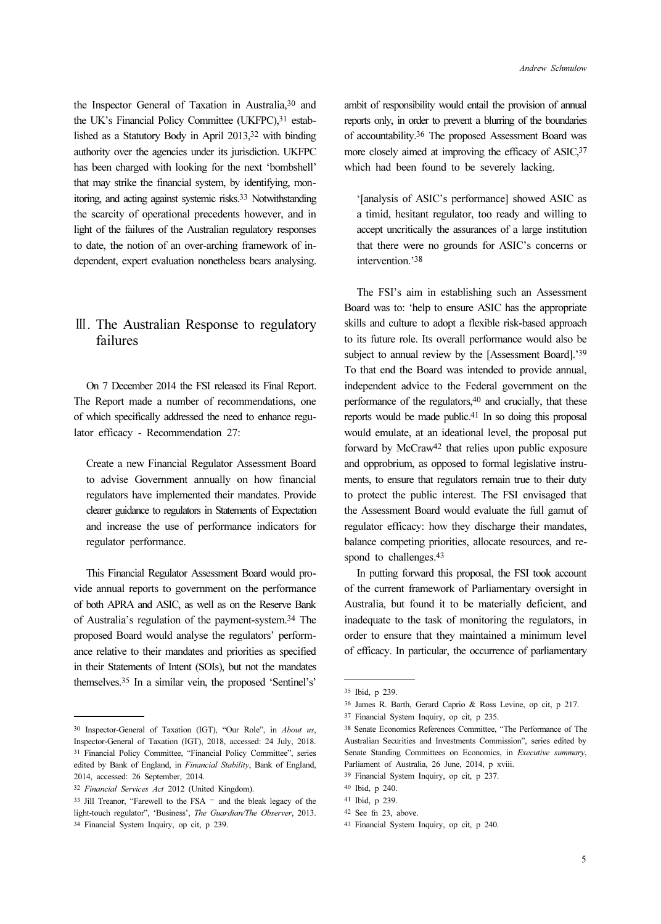the Inspector General of Taxation in Australia,30 and the UK's Financial Policy Committee (UKFPC),<sup>31</sup> established as a Statutory Body in April 2013,32 with binding authority over the agencies under its jurisdiction. UKFPC has been charged with looking for the next 'bombshell' that may strike the financial system, by identifying, monitoring, and acting against systemic risks.33 Notwithstanding the scarcity of operational precedents however, and in light of the failures of the Australian regulatory responses to date, the notion of an over-arching framework of independent, expert evaluation nonetheless bears analysing.

### Ⅲ. The Australian Response to regulatory failures

On 7 December 2014 the FSI released its Final Report. The Report made a number of recommendations, one of which specifically addressed the need to enhance regulator efficacy - Recommendation 27:

Create a new Financial Regulator Assessment Board to advise Government annually on how financial regulators have implemented their mandates. Provide clearer guidance to regulators in Statements of Expectation and increase the use of performance indicators for regulator performance.

This Financial Regulator Assessment Board would provide annual reports to government on the performance of both APRA and ASIC, as well as on the Reserve Bank of Australia's regulation of the payment-system.34 The proposed Board would analyse the regulators' performance relative to their mandates and priorities as specified in their Statements of Intent (SOIs), but not the mandates themselves.35 In a similar vein, the proposed 'Sentinel's' ambit of responsibility would entail the provision of annual reports only, in order to prevent a blurring of the boundaries of accountability.36 The proposed Assessment Board was more closely aimed at improving the efficacy of ASIC, 37 which had been found to be severely lacking.

'[analysis of ASIC's performance] showed ASIC as a timid, hesitant regulator, too ready and willing to accept uncritically the assurances of a large institution that there were no grounds for ASIC's concerns or intervention.'<sup>38</sup>

The FSI's aim in establishing such an Assessment Board was to: 'help to ensure ASIC has the appropriate skills and culture to adopt a flexible risk-based approach to its future role. Its overall performance would also be subject to annual review by the [Assessment Board].'<sup>39</sup> To that end the Board was intended to provide annual, independent advice to the Federal government on the performance of the regulators,40 and crucially, that these reports would be made public.41 In so doing this proposal would emulate, at an ideational level, the proposal put forward by McCraw42 that relies upon public exposure and opprobrium, as opposed to formal legislative instruments, to ensure that regulators remain true to their duty to protect the public interest. The FSI envisaged that the Assessment Board would evaluate the full gamut of regulator efficacy: how they discharge their mandates, balance competing priorities, allocate resources, and respond to challenges.<sup>43</sup>

In putting forward this proposal, the FSI took account of the current framework of Parliamentary oversight in Australia, but found it to be materially deficient, and inadequate to the task of monitoring the regulators, in order to ensure that they maintained a minimum level of efficacy. In particular, the occurrence of parliamentary

<sup>30</sup> Inspector-General of Taxation (IGT), "Our Role", in About us, Inspector-General of Taxation (IGT), 2018, accessed: 24 July, 2018. <sup>31</sup> Financial Policy Committee, "Financial Policy Committee", series edited by Bank of England, in Financial Stability, Bank of England, 2014, accessed: 26 September, 2014.

<sup>32</sup> Financial Services Act 2012 (United Kingdom).

<sup>33</sup> Jill Treanor, "Farewell to the FSA – and the bleak legacy of the light-touch regulator", 'Business', The Guardian/The Observer, 2013. <sup>34</sup> Financial System Inquiry, op cit, p 239.

<sup>35</sup> Ibid, p 239.

<sup>36</sup> James R. Barth, Gerard Caprio & Ross Levine, op cit, p 217.

<sup>37</sup> Financial System Inquiry, op cit, p 235.

<sup>38</sup> Senate Economics References Committee, "The Performance of The Australian Securities and Investments Commission", series edited by Senate Standing Committees on Economics, in Executive summary, Parliament of Australia, 26 June, 2014, p xviii.

<sup>39</sup> Financial System Inquiry, op cit, p 237.

<sup>40</sup> Ibid, p 240.

<sup>41</sup> Ibid, p 239.

<sup>42</sup> See fn 23, above.

<sup>43</sup> Financial System Inquiry, op cit, p 240.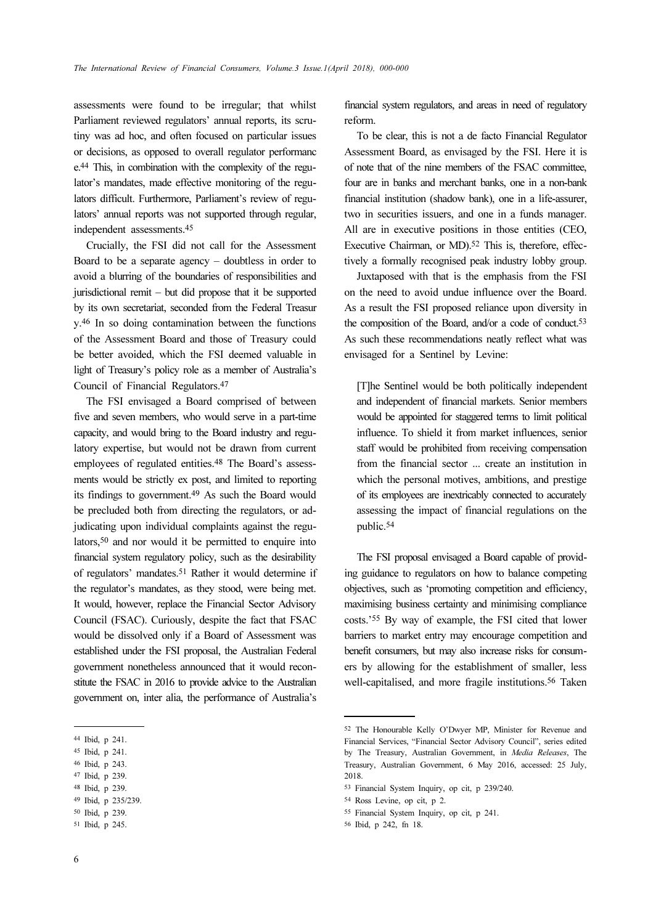assessments were found to be irregular; that whilst Parliament reviewed regulators' annual reports, its scrutiny was ad hoc, and often focused on particular issues or decisions, as opposed to overall regulator performanc e.44 This, in combination with the complexity of the regulator's mandates, made effective monitoring of the regulators difficult. Furthermore, Parliament's review of regulators' annual reports was not supported through regular, independent assessments.<sup>45</sup>

Crucially, the FSI did not call for the Assessment Board to be a separate agency – doubtless in order to avoid a blurring of the boundaries of responsibilities and jurisdictional remit – but did propose that it be supported by its own secretariat, seconded from the Federal Treasur y.46 In so doing contamination between the functions of the Assessment Board and those of Treasury could be better avoided, which the FSI deemed valuable in light of Treasury's policy role as a member of Australia's Council of Financial Regulators.<sup>47</sup>

The FSI envisaged a Board comprised of between five and seven members, who would serve in a part-time capacity, and would bring to the Board industry and regulatory expertise, but would not be drawn from current employees of regulated entities.48 The Board's assessments would be strictly ex post, and limited to reporting its findings to government.49 As such the Board would be precluded both from directing the regulators, or adjudicating upon individual complaints against the regulators,50 and nor would it be permitted to enquire into financial system regulatory policy, such as the desirability of regulators' mandates.51 Rather it would determine if the regulator's mandates, as they stood, were being met. It would, however, replace the Financial Sector Advisory Council (FSAC). Curiously, despite the fact that FSAC would be dissolved only if a Board of Assessment was established under the FSI proposal, the Australian Federal government nonetheless announced that it would reconstitute the FSAC in 2016 to provide advice to the Australian government on, inter alia, the performance of Australia's

financial system regulators, and areas in need of regulatory reform.

To be clear, this is not a de facto Financial Regulator Assessment Board, as envisaged by the FSI. Here it is of note that of the nine members of the FSAC committee, four are in banks and merchant banks, one in a non-bank financial institution (shadow bank), one in a life-assurer, two in securities issuers, and one in a funds manager. All are in executive positions in those entities (CEO, Executive Chairman, or MD).<sup>52</sup> This is, therefore, effectively a formally recognised peak industry lobby group.

Juxtaposed with that is the emphasis from the FSI on the need to avoid undue influence over the Board. As a result the FSI proposed reliance upon diversity in the composition of the Board, and/or a code of conduct.<sup>53</sup> As such these recommendations neatly reflect what was envisaged for a Sentinel by Levine:

[T]he Sentinel would be both politically independent and independent of financial markets. Senior members would be appointed for staggered terms to limit political influence. To shield it from market influences, senior staff would be prohibited from receiving compensation from the financial sector ... create an institution in which the personal motives, ambitions, and prestige of its employees are inextricably connected to accurately assessing the impact of financial regulations on the public.<sup>54</sup>

The FSI proposal envisaged a Board capable of providing guidance to regulators on how to balance competing objectives, such as 'promoting competition and efficiency, maximising business certainty and minimising compliance costs.'55 By way of example, the FSI cited that lower barriers to market entry may encourage competition and benefit consumers, but may also increase risks for consumers by allowing for the establishment of smaller, less well-capitalised, and more fragile institutions.56 Taken

<sup>44</sup> Ibid, p 241.

<sup>45</sup> Ibid, p 241.

<sup>46</sup> Ibid, p 243.

<sup>47</sup> Ibid, p 239.

<sup>48</sup> Ibid, p 239.

<sup>49</sup> Ibid, p 235/239.

<sup>50</sup> Ibid, p 239.

<sup>51</sup> Ibid, p 245.

<sup>52</sup> The Honourable Kelly O'Dwyer MP, Minister for Revenue and Financial Services, "Financial Sector Advisory Council", series edited by The Treasury, Australian Government, in Media Releases, The Treasury, Australian Government, 6 May 2016, accessed: 25 July, 2018.

<sup>53</sup> Financial System Inquiry, op cit, p 239/240.

<sup>54</sup> Ross Levine, op cit, p 2.

<sup>55</sup> Financial System Inquiry, op cit, p 241.

<sup>56</sup> Ibid, p 242, fn 18.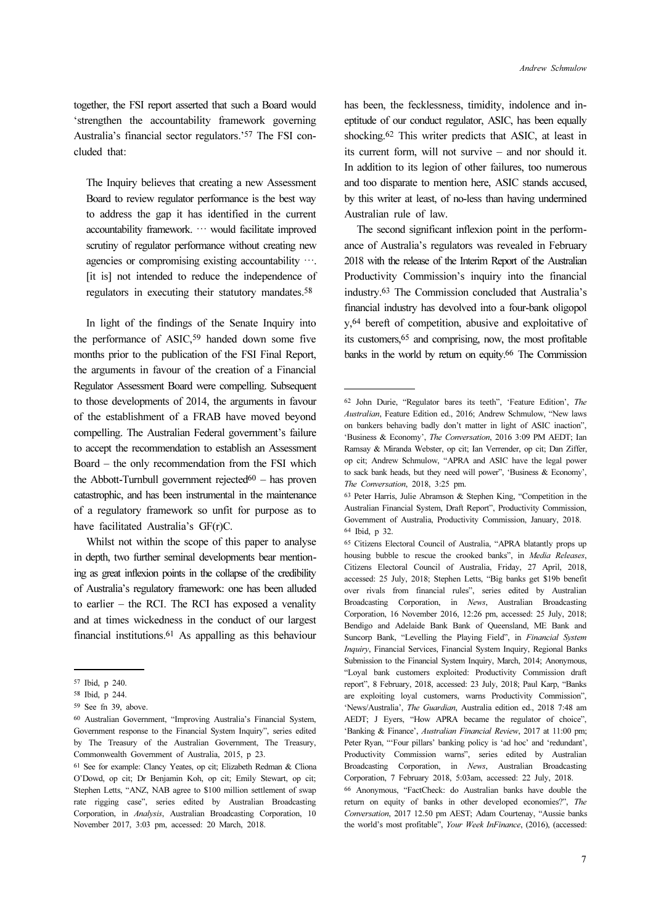together, the FSI report asserted that such a Board would 'strengthen the accountability framework governing Australia's financial sector regulators.'57 The FSI concluded that:

The Inquiry believes that creating a new Assessment Board to review regulator performance is the best way to address the gap it has identified in the current accountability framework. … would facilitate improved scrutiny of regulator performance without creating new agencies or compromising existing accountability …. [it is] not intended to reduce the independence of regulators in executing their statutory mandates.<sup>58</sup>

In light of the findings of the Senate Inquiry into the performance of ASIC,59 handed down some five months prior to the publication of the FSI Final Report, the arguments in favour of the creation of a Financial Regulator Assessment Board were compelling. Subsequent to those developments of 2014, the arguments in favour of the establishment of a FRAB have moved beyond compelling. The Australian Federal government's failure to accept the recommendation to establish an Assessment Board – the only recommendation from the FSI which the Abbott-Turnbull government rejected $60 -$  has proven catastrophic, and has been instrumental in the maintenance of a regulatory framework so unfit for purpose as to have facilitated Australia's GF(r)C.

Whilst not within the scope of this paper to analyse in depth, two further seminal developments bear mentioning as great inflexion points in the collapse of the credibility of Australia's regulatory framework: one has been alluded to earlier – the RCI. The RCI has exposed a venality and at times wickedness in the conduct of our largest financial institutions.61 As appalling as this behaviour

has been, the fecklessness, timidity, indolence and ineptitude of our conduct regulator, ASIC, has been equally shocking.62 This writer predicts that ASIC, at least in its current form, will not survive – and nor should it. In addition to its legion of other failures, too numerous and too disparate to mention here, ASIC stands accused, by this writer at least, of no-less than having undermined Australian rule of law.

The second significant inflexion point in the performance of Australia's regulators was revealed in February 2018 with the release of the Interim Report of the Australian Productivity Commission's inquiry into the financial industry.63 The Commission concluded that Australia's financial industry has devolved into a four-bank oligopol y,64 bereft of competition, abusive and exploitative of its customers,65 and comprising, now, the most profitable banks in the world by return on equity.66 The Commission

<sup>57</sup> Ibid, p 240.

<sup>58</sup> Ibid, p 244.

<sup>59</sup> See fn 39, above.

<sup>60</sup> Australian Government, "Improving Australia's Financial System, Government response to the Financial System Inquiry", series edited by The Treasury of the Australian Government, The Treasury, Commonwealth Government of Australia, 2015, p 23.

<sup>61</sup> See for example: Clancy Yeates, op cit; Elizabeth Redman & Cliona O'Dowd, op cit; Dr Benjamin Koh, op cit; Emily Stewart, op cit; Stephen Letts, "ANZ, NAB agree to \$100 million settlement of swap rate rigging case", series edited by Australian Broadcasting Corporation, in Analysis, Australian Broadcasting Corporation, 10 November 2017, 3:03 pm, accessed: 20 March, 2018.

<sup>62</sup> John Durie, "Regulator bares its teeth", 'Feature Edition', The Australian, Feature Edition ed., 2016; Andrew Schmulow, "New laws on bankers behaving badly don't matter in light of ASIC inaction", 'Business & Economy', The Conversation, 2016 3:09 PM AEDT; Ian Ramsay & Miranda Webster, op cit; Ian Verrender, op cit; Dan Ziffer, op cit; Andrew Schmulow, "APRA and ASIC have the legal power to sack bank heads, but they need will power", 'Business & Economy', The Conversation, 2018, 3:25 pm.

<sup>63</sup> Peter Harris, Julie Abramson & Stephen King, "Competition in the Australian Financial System, Draft Report", Productivity Commission, Government of Australia, Productivity Commission, January, 2018. <sup>64</sup> Ibid, p 32.

<sup>65</sup> Citizens Electoral Council of Australia, "APRA blatantly props up housing bubble to rescue the crooked banks", in Media Releases, Citizens Electoral Council of Australia, Friday, 27 April, 2018, accessed: 25 July, 2018; Stephen Letts, "Big banks get \$19b benefit over rivals from financial rules", series edited by Australian Broadcasting Corporation, in News, Australian Broadcasting Corporation, 16 November 2016, 12:26 pm, accessed: 25 July, 2018; Bendigo and Adelaide Bank Bank of Queensland, ME Bank and Suncorp Bank, "Levelling the Playing Field", in Financial System Inquiry, Financial Services, Financial System Inquiry, Regional Banks Submission to the Financial System Inquiry, March, 2014; Anonymous, "Loyal bank customers exploited: Productivity Commission draft report", 8 February, 2018, accessed: 23 July, 2018; Paul Karp, "Banks are exploiting loyal customers, warns Productivity Commission", 'News/Australia', The Guardian, Australia edition ed., 2018 7:48 am AEDT; J Eyers, "How APRA became the regulator of choice", 'Banking & Finance', Australian Financial Review, 2017 at 11:00 pm; Peter Ryan, "'Four pillars' banking policy is 'ad hoc' and 'redundant', Productivity Commission warns", series edited by Australian Broadcasting Corporation, in News, Australian Broadcasting Corporation, 7 February 2018, 5:03am, accessed: 22 July, 2018.

<sup>66</sup> Anonymous, "FactCheck: do Australian banks have double the return on equity of banks in other developed economies?", The Conversation, 2017 12.50 pm AEST; Adam Courtenay, "Aussie banks the world's most profitable", Your Week InFinance, (2016), (accessed: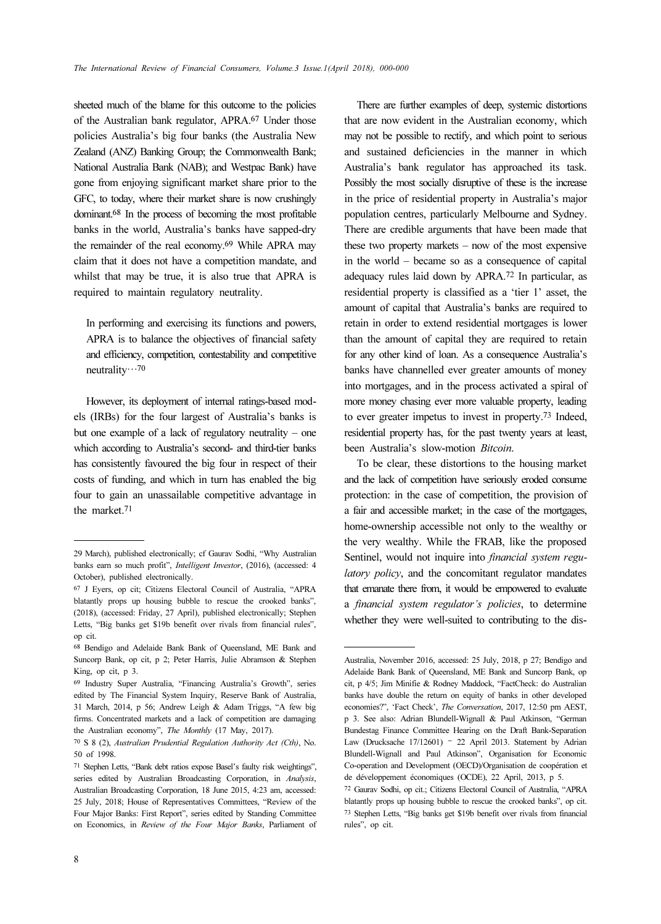sheeted much of the blame for this outcome to the policies of the Australian bank regulator, APRA.67 Under those policies Australia's big four banks (the Australia New Zealand (ANZ) Banking Group; the Commonwealth Bank; National Australia Bank (NAB); and Westpac Bank) have gone from enjoying significant market share prior to the GFC, to today, where their market share is now crushingly dominant.68 In the process of becoming the most profitable banks in the world, Australia's banks have sapped-dry the remainder of the real economy.69 While APRA may claim that it does not have a competition mandate, and whilst that may be true, it is also true that APRA is required to maintain regulatory neutrality.

In performing and exercising its functions and powers, APRA is to balance the objectives of financial safety and efficiency, competition, contestability and competitive neutrality…<sup>70</sup>

However, its deployment of internal ratings-based models (IRBs) for the four largest of Australia's banks is but one example of a lack of regulatory neutrality – one which according to Australia's second- and third-tier banks has consistently favoured the big four in respect of their costs of funding, and which in turn has enabled the big four to gain an unassailable competitive advantage in the market.<sup>71</sup>

There are further examples of deep, systemic distortions that are now evident in the Australian economy, which may not be possible to rectify, and which point to serious and sustained deficiencies in the manner in which Australia's bank regulator has approached its task. Possibly the most socially disruptive of these is the increase in the price of residential property in Australia's major population centres, particularly Melbourne and Sydney. There are credible arguments that have been made that these two property markets – now of the most expensive in the world – became so as a consequence of capital adequacy rules laid down by APRA.72 In particular, as residential property is classified as a 'tier 1' asset, the amount of capital that Australia's banks are required to retain in order to extend residential mortgages is lower than the amount of capital they are required to retain for any other kind of loan. As a consequence Australia's banks have channelled ever greater amounts of money into mortgages, and in the process activated a spiral of more money chasing ever more valuable property, leading to ever greater impetus to invest in property.73 Indeed, residential property has, for the past twenty years at least, been Australia's slow-motion Bitcoin.

To be clear, these distortions to the housing market and the lack of competition have seriously eroded consume protection: in the case of competition, the provision of a fair and accessible market; in the case of the mortgages, home-ownership accessible not only to the wealthy or the very wealthy. While the FRAB, like the proposed Sentinel, would not inquire into *financial system regu*latory policy, and the concomitant regulator mandates that emanate there from, it would be empowered to evaluate a financial system regulator's policies, to determine whether they were well-suited to contributing to the dis-

<sup>29</sup> March), published electronically; cf Gaurav Sodhi, "Why Australian banks earn so much profit", Intelligent Investor, (2016), (accessed: 4 October), published electronically.

<sup>67</sup> J Eyers, op cit; Citizens Electoral Council of Australia, "APRA blatantly props up housing bubble to rescue the crooked banks", (2018), (accessed: Friday, 27 April), published electronically; Stephen Letts, "Big banks get \$19b benefit over rivals from financial rules", op cit.

<sup>68</sup> Bendigo and Adelaide Bank Bank of Queensland, ME Bank and Suncorp Bank, op cit, p 2; Peter Harris, Julie Abramson & Stephen King, op cit, p 3.

<sup>69</sup> Industry Super Australia, "Financing Australia's Growth", series edited by The Financial System Inquiry, Reserve Bank of Australia, 31 March, 2014, p 56; Andrew Leigh & Adam Triggs, "A few big firms. Concentrated markets and a lack of competition are damaging the Australian economy", The Monthly (17 May, 2017).

<sup>70</sup> S 8 (2), Australian Prudential Regulation Authority Act (Cth), No. 50 of 1998.

<sup>71</sup> Stephen Letts, "Bank debt ratios expose Basel's faulty risk weightings", series edited by Australian Broadcasting Corporation, in Analysis, Australian Broadcasting Corporation, 18 June 2015, 4:23 am, accessed: 25 July, 2018; House of Representatives Committees, "Review of the Four Major Banks: First Report", series edited by Standing Committee on Economics, in Review of the Four Major Banks, Parliament of

Australia, November 2016, accessed: 25 July, 2018, p 27; Bendigo and Adelaide Bank Bank of Queensland, ME Bank and Suncorp Bank, op cit, p 4/5; Jim Minifie & Rodney Maddock, "FactCheck: do Australian banks have double the return on equity of banks in other developed economies?", 'Fact Check', The Conversation, 2017, 12:50 pm AEST, p 3. See also: Adrian Blundell-Wignall & Paul Atkinson, "German Bundestag Finance Committee Hearing on the Draft Bank-Separation Law (Drucksache 17/12601) <sup>-</sup> 22 April 2013. Statement by Adrian Blundell-Wignall and Paul Atkinson", Organisation for Economic Co-operation and Development (OECD)/Organisation de coopération et de développement économiques (OCDE), 22 April, 2013, p 5.

<sup>72</sup> Gaurav Sodhi, op cit.; Citizens Electoral Council of Australia, "APRA blatantly props up housing bubble to rescue the crooked banks", op cit. <sup>73</sup> Stephen Letts, "Big banks get \$19b benefit over rivals from financial rules", op cit.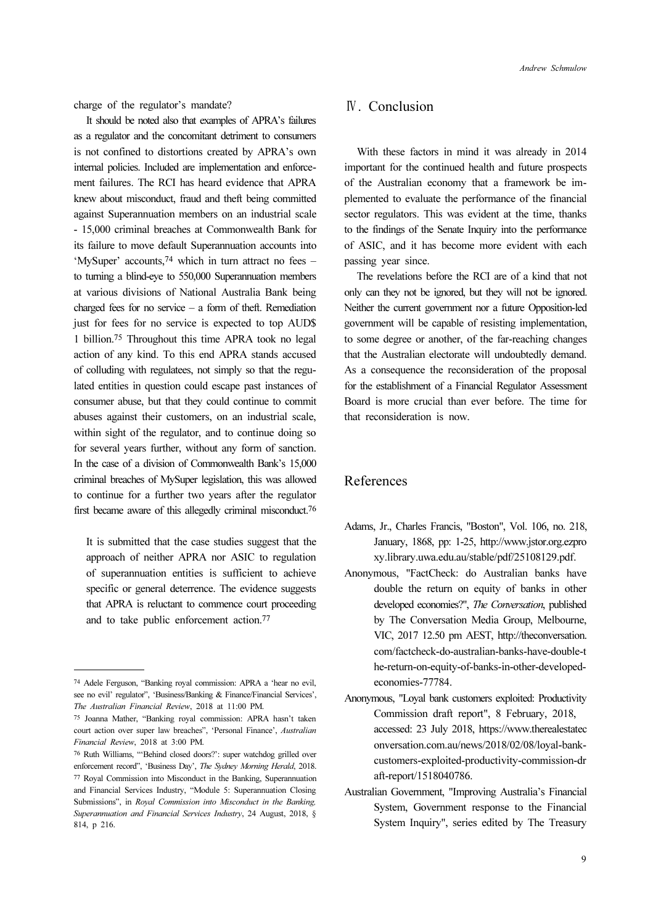charge of the regulator's mandate?

It should be noted also that examples of APRA's failures as a regulator and the concomitant detriment to consumers is not confined to distortions created by APRA's own internal policies. Included are implementation and enforcement failures. The RCI has heard evidence that APRA knew about misconduct, fraud and theft being committed against Superannuation members on an industrial scale - 15,000 criminal breaches at Commonwealth Bank for its failure to move default Superannuation accounts into 'MySuper' accounts,74 which in turn attract no fees – to turning a blind-eye to 550,000 Superannuation members at various divisions of National Australia Bank being charged fees for no service – a form of theft. Remediation just for fees for no service is expected to top AUD\$ 1 billion.75 Throughout this time APRA took no legal action of any kind. To this end APRA stands accused of colluding with regulatees, not simply so that the regulated entities in question could escape past instances of consumer abuse, but that they could continue to commit abuses against their customers, on an industrial scale, within sight of the regulator, and to continue doing so for several years further, without any form of sanction. In the case of a division of Commonwealth Bank's 15,000 criminal breaches of MySuper legislation, this was allowed to continue for a further two years after the regulator first became aware of this allegedly criminal misconduct.<sup>76</sup>

It is submitted that the case studies suggest that the approach of neither APRA nor ASIC to regulation of superannuation entities is sufficient to achieve specific or general deterrence. The evidence suggests that APRA is reluctant to commence court proceeding and to take public enforcement action.<sup>77</sup>

#### Ⅳ. Conclusion

With these factors in mind it was already in 2014 important for the continued health and future prospects of the Australian economy that a framework be implemented to evaluate the performance of the financial sector regulators. This was evident at the time, thanks to the findings of the Senate Inquiry into the performance of ASIC, and it has become more evident with each passing year since.

The revelations before the RCI are of a kind that not only can they not be ignored, but they will not be ignored. Neither the current government nor a future Opposition-led government will be capable of resisting implementation, to some degree or another, of the far-reaching changes that the Australian electorate will undoubtedly demand. As a consequence the reconsideration of the proposal for the establishment of a Financial Regulator Assessment Board is more crucial than ever before. The time for that reconsideration is now.

#### References

- Adams, Jr., Charles Francis, "Boston", Vol. 106, no. 218, January, 1868, pp: 1-25, http://www.jstor.org.ezpro xy.library.uwa.edu.au/stable/pdf/25108129.pdf.
- Anonymous, "FactCheck: do Australian banks have double the return on equity of banks in other developed economies?", The Conversation, published by The Conversation Media Group, Melbourne, VIC, 2017 12.50 pm AEST, http://theconversation. com/factcheck-do-australian-banks-have-double-t he-return-on-equity-of-banks-in-other-developedeconomies-77784.
- Anonymous, "Loyal bank customers exploited: Productivity Commission draft report", 8 February, 2018, accessed: 23 July 2018, https://www.therealestatec onversation.com.au/news/2018/02/08/loyal-bankcustomers-exploited-productivity-commission-dr aft-report/1518040786.
- Australian Government, "Improving Australia's Financial System, Government response to the Financial System Inquiry", series edited by The Treasury

<sup>74</sup> Adele Ferguson, "Banking royal commission: APRA a 'hear no evil, see no evil' regulator", 'Business/Banking & Finance/Financial Services', The Australian Financial Review, 2018 at 11:00 PM.

<sup>75</sup> Joanna Mather, "Banking royal commission: APRA hasn't taken court action over super law breaches", 'Personal Finance', Australian Financial Review, 2018 at 3:00 PM.

<sup>76</sup> Ruth Williams, "'Behind closed doors?': super watchdog grilled over enforcement record", 'Business Day', The Sydney Morning Herald, 2018. <sup>77</sup> Royal Commission into Misconduct in the Banking, Superannuation and Financial Services Industry, "Module 5: Superannuation Closing Submissions", in Royal Commission into Misconduct in the Banking, Superannuation and Financial Services Industry, 24 August, 2018, § 814, p 216.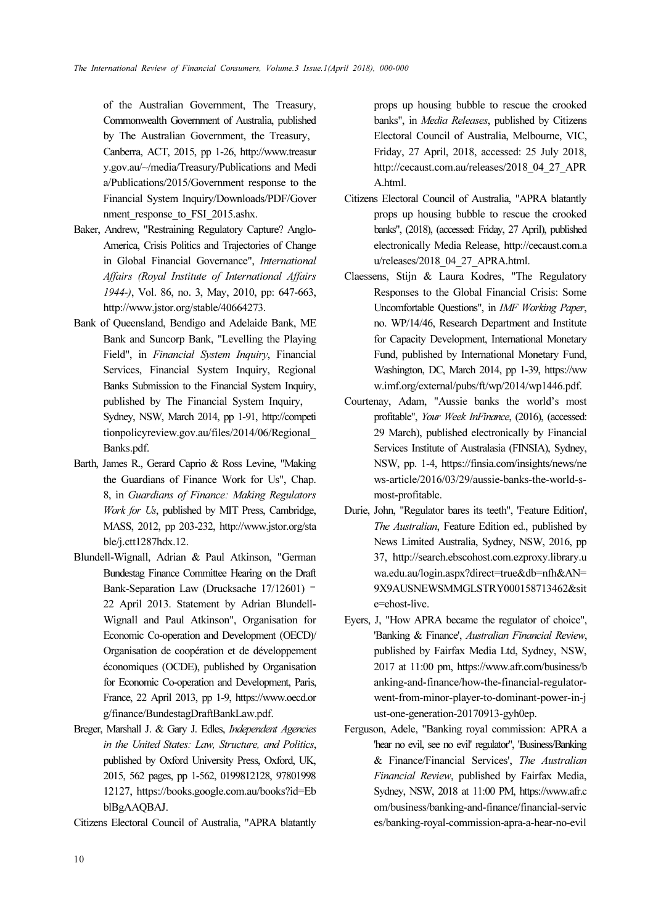of the Australian Government, The Treasury, Commonwealth Government of Australia, published by The Australian Government, the Treasury, Canberra, ACT, 2015, pp 1-26, http://www.treasur y.gov.au/~/media/Treasury/Publications and Medi a/Publications/2015/Government response to the Financial System Inquiry/Downloads/PDF/Gover nment response to FSI 2015.ashx.

- Baker, Andrew, "Restraining Regulatory Capture? Anglo-America, Crisis Politics and Trajectories of Change in Global Financial Governance", International Affairs (Royal Institute of International Affairs 1944-), Vol. 86, no. 3, May, 2010, pp: 647-663, http://www.jstor.org/stable/40664273.
- Bank of Queensland, Bendigo and Adelaide Bank, ME Bank and Suncorp Bank, "Levelling the Playing Field", in Financial System Inquiry, Financial Services, Financial System Inquiry, Regional Banks Submission to the Financial System Inquiry, published by The Financial System Inquiry, Sydney, NSW, March 2014, pp 1-91, http://competi tionpolicyreview.gov.au/files/2014/06/Regional\_ Banks.pdf.
- Barth, James R., Gerard Caprio & Ross Levine, "Making the Guardians of Finance Work for Us", Chap. 8, in Guardians of Finance: Making Regulators Work for Us, published by MIT Press, Cambridge, MASS, 2012, pp 203-232, http://www.jstor.org/sta ble/j.ctt1287hdx.12.
- Blundell-Wignall, Adrian & Paul Atkinson, "German Bundestag Finance Committee Hearing on the Draft Bank-Separation Law (Drucksache 17/12601) – 22 April 2013. Statement by Adrian Blundell-Wignall and Paul Atkinson", Organisation for Economic Co-operation and Development (OECD)/ Organisation de coopération et de développement économiques (OCDE), published by Organisation for Economic Co-operation and Development, Paris, France, 22 April 2013, pp 1-9, https://www.oecd.or g/finance/BundestagDraftBankLaw.pdf.
- Breger, Marshall J. & Gary J. Edles, Independent Agencies in the United States: Law, Structure, and Politics, published by Oxford University Press, Oxford, UK, 2015, 562 pages, pp 1-562, 0199812128, 97801998 12127, https://books.google.com.au/books?id=Eb blBgAAQBAJ.

Citizens Electoral Council of Australia, "APRA blatantly

props up housing bubble to rescue the crooked banks", in Media Releases, published by Citizens Electoral Council of Australia, Melbourne, VIC, Friday, 27 April, 2018, accessed: 25 July 2018, http://cecaust.com.au/releases/2018\_04\_27\_APR A.html.

- Citizens Electoral Council of Australia, "APRA blatantly props up housing bubble to rescue the crooked banks", (2018), (accessed: Friday, 27 April), published electronically Media Release, http://cecaust.com.a u/releases/2018\_04\_27\_APRA.html.
- Claessens, Stijn & Laura Kodres, "The Regulatory Responses to the Global Financial Crisis: Some Uncomfortable Questions", in IMF Working Paper, no. WP/14/46, Research Department and Institute for Capacity Development, International Monetary Fund, published by International Monetary Fund, Washington, DC, March 2014, pp 1-39, https://ww w.imf.org/external/pubs/ft/wp/2014/wp1446.pdf.
- Courtenay, Adam, "Aussie banks the world's most profitable", Your Week InFinance, (2016), (accessed: 29 March), published electronically by Financial Services Institute of Australasia (FINSIA), Sydney, NSW, pp. 1-4, https://finsia.com/insights/news/ne ws-article/2016/03/29/aussie-banks-the-world-smost-profitable.
- Durie, John, "Regulator bares its teeth", 'Feature Edition', The Australian, Feature Edition ed., published by News Limited Australia, Sydney, NSW, 2016, pp 37, http://search.ebscohost.com.ezproxy.library.u wa.edu.au/login.aspx?direct=true&db=nfh&AN= 9X9AUSNEWSMMGLSTRY000158713462&sit e=ehost-live.
- Eyers, J, "How APRA became the regulator of choice", 'Banking & Finance', Australian Financial Review, published by Fairfax Media Ltd, Sydney, NSW, 2017 at 11:00 pm, https://www.afr.com/business/b anking-and-finance/how-the-financial-regulatorwent-from-minor-player-to-dominant-power-in-j ust-one-generation-20170913-gyh0ep.
- Ferguson, Adele, "Banking royal commission: APRA a 'hear no evil, see no evil' regulator", 'Business/Banking & Finance/Financial Services', The Australian Financial Review, published by Fairfax Media, Sydney, NSW, 2018 at 11:00 PM, https://www.afr.c om/business/banking-and-finance/financial-servic es/banking-royal-commission-apra-a-hear-no-evil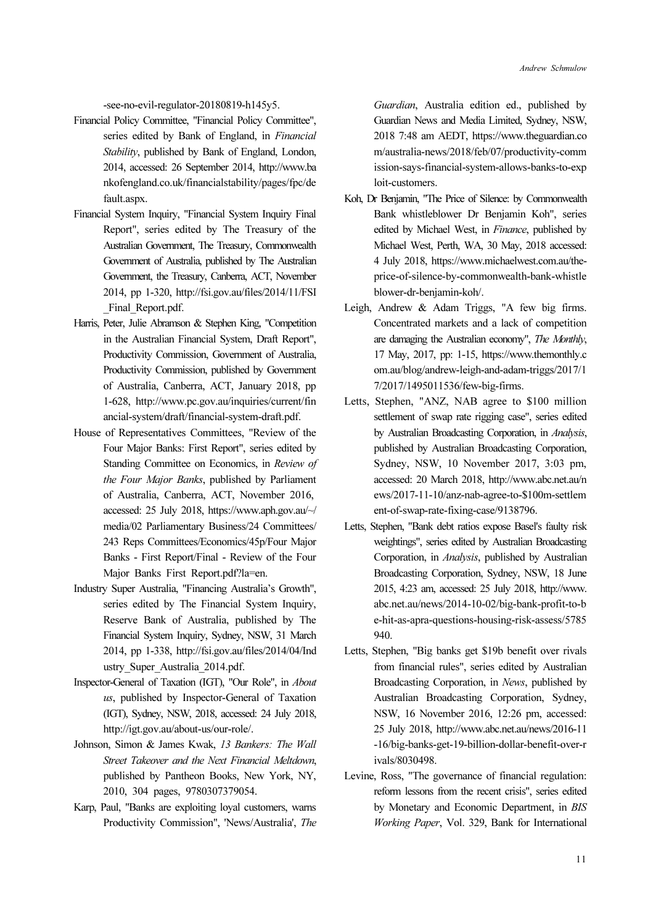-see-no-evil-regulator-20180819-h145y5.

- Financial Policy Committee, "Financial Policy Committee", series edited by Bank of England, in Financial Stability, published by Bank of England, London, 2014, accessed: 26 September 2014, http://www.ba nkofengland.co.uk/financialstability/pages/fpc/de fault.aspx.
- Financial System Inquiry, "Financial System Inquiry Final Report", series edited by The Treasury of the Australian Government, The Treasury, Commonwealth Government of Australia, published by The Australian Government, the Treasury, Canberra, ACT, November 2014, pp 1-320, http://fsi.gov.au/files/2014/11/FSI Final Report.pdf.
- Harris, Peter, Julie Abramson & Stephen King, "Competition in the Australian Financial System, Draft Report", Productivity Commission, Government of Australia, Productivity Commission, published by Government of Australia, Canberra, ACT, January 2018, pp 1-628, http://www.pc.gov.au/inquiries/current/fin ancial-system/draft/financial-system-draft.pdf.
- House of Representatives Committees, "Review of the Four Major Banks: First Report", series edited by Standing Committee on Economics, in Review of the Four Major Banks, published by Parliament of Australia, Canberra, ACT, November 2016, accessed: 25 July 2018, https://www.aph.gov.au/~/ media/02 Parliamentary Business/24 Committees/ 243 Reps Committees/Economics/45p/Four Major Banks - First Report/Final - Review of the Four Major Banks First Report.pdf?la=en.
- Industry Super Australia, "Financing Australia's Growth", series edited by The Financial System Inquiry, Reserve Bank of Australia, published by The Financial System Inquiry, Sydney, NSW, 31 March 2014, pp 1-338, http://fsi.gov.au/files/2014/04/Ind ustry\_Super\_Australia\_2014.pdf.
- Inspector-General of Taxation (IGT), "Our Role", in About us, published by Inspector-General of Taxation (IGT), Sydney, NSW, 2018, accessed: 24 July 2018, http://igt.gov.au/about-us/our-role/.
- Johnson, Simon & James Kwak, 13 Bankers: The Wall Street Takeover and the Next Financial Meltdown, published by Pantheon Books, New York, NY, 2010, 304 pages, 9780307379054.
- Karp, Paul, "Banks are exploiting loyal customers, warns Productivity Commission", 'News/Australia', The

Guardian, Australia edition ed., published by Guardian News and Media Limited, Sydney, NSW, 2018 7:48 am AEDT, https://www.theguardian.co m/australia-news/2018/feb/07/productivity-comm ission-says-financial-system-allows-banks-to-exp loit-customers.

- Koh, Dr Benjamin, "The Price of Silence: by Commonwealth Bank whistleblower Dr Benjamin Koh", series edited by Michael West, in Finance, published by Michael West, Perth, WA, 30 May, 2018 accessed: 4 July 2018, https://www.michaelwest.com.au/theprice-of-silence-by-commonwealth-bank-whistle blower-dr-benjamin-koh/.
- Leigh, Andrew & Adam Triggs, "A few big firms. Concentrated markets and a lack of competition are damaging the Australian economy", The Monthly, 17 May, 2017, pp: 1-15, https://www.themonthly.c om.au/blog/andrew-leigh-and-adam-triggs/2017/1 7/2017/1495011536/few-big-firms.
- Letts, Stephen, "ANZ, NAB agree to \$100 million settlement of swap rate rigging case", series edited by Australian Broadcasting Corporation, in Analysis, published by Australian Broadcasting Corporation, Sydney, NSW, 10 November 2017, 3:03 pm, accessed: 20 March 2018, http://www.abc.net.au/n ews/2017-11-10/anz-nab-agree-to-\$100m-settlem ent-of-swap-rate-fixing-case/9138796.
- Letts, Stephen, "Bank debt ratios expose Basel's faulty risk weightings", series edited by Australian Broadcasting Corporation, in Analysis, published by Australian Broadcasting Corporation, Sydney, NSW, 18 June 2015, 4:23 am, accessed: 25 July 2018, http://www. abc.net.au/news/2014-10-02/big-bank-profit-to-b e-hit-as-apra-questions-housing-risk-assess/5785 940.
- Letts, Stephen, "Big banks get \$19b benefit over rivals from financial rules", series edited by Australian Broadcasting Corporation, in News, published by Australian Broadcasting Corporation, Sydney, NSW, 16 November 2016, 12:26 pm, accessed: 25 July 2018, http://www.abc.net.au/news/2016-11 -16/big-banks-get-19-billion-dollar-benefit-over-r ivals/8030498.
- Levine, Ross, "The governance of financial regulation: reform lessons from the recent crisis", series edited by Monetary and Economic Department, in BIS Working Paper, Vol. 329, Bank for International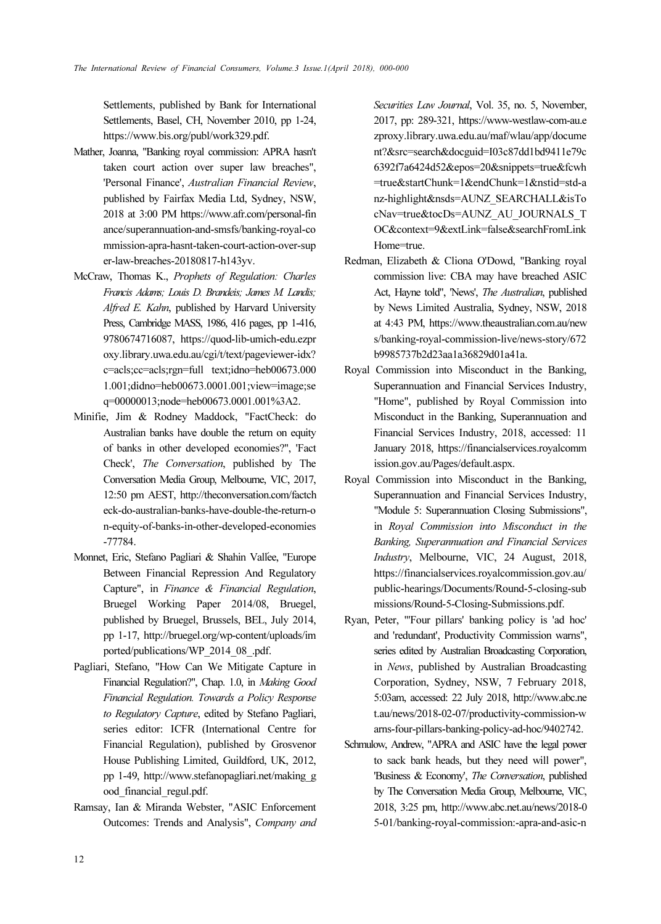Settlements, published by Bank for International Settlements, Basel, CH, November 2010, pp 1-24, https://www.bis.org/publ/work329.pdf.

- Mather, Joanna, "Banking royal commission: APRA hasn't taken court action over super law breaches", 'Personal Finance', Australian Financial Review, published by Fairfax Media Ltd, Sydney, NSW, 2018 at 3:00 PM https://www.afr.com/personal-fin ance/superannuation-and-smsfs/banking-royal-co mmission-apra-hasnt-taken-court-action-over-sup er-law-breaches-20180817-h143yv.
- McCraw, Thomas K., Prophets of Regulation: Charles Francis Adams; Louis D. Brandeis; James M. Landis; Alfred E. Kahn, published by Harvard University Press, Cambridge MASS, 1986, 416 pages, pp 1-416, 9780674716087, https://quod-lib-umich-edu.ezpr oxy.library.uwa.edu.au/cgi/t/text/pageviewer-idx? c=acls;cc=acls;rgn=full text;idno=heb00673.000 1.001;didno=heb00673.0001.001;view=image;se q=00000013;node=heb00673.0001.001%3A2.
- Minifie, Jim & Rodney Maddock, "FactCheck: do Australian banks have double the return on equity of banks in other developed economies?", 'Fact Check', The Conversation, published by The Conversation Media Group, Melbourne, VIC, 2017, 12:50 pm AEST, http://theconversation.com/factch eck-do-australian-banks-have-double-the-return-o n-equity-of-banks-in-other-developed-economies -77784.
- Monnet, Eric, Stefano Pagliari & Shahin Vallée, "Europe Between Financial Repression And Regulatory Capture", in Finance & Financial Regulation, Bruegel Working Paper 2014/08, Bruegel, published by Bruegel, Brussels, BEL, July 2014, pp 1-17, http://bruegel.org/wp-content/uploads/im ported/publications/WP\_2014\_08\_.pdf.
- Pagliari, Stefano, "How Can We Mitigate Capture in Financial Regulation?", Chap. 1.0, in Making Good Financial Regulation. Towards a Policy Response to Regulatory Capture, edited by Stefano Pagliari, series editor: ICFR (International Centre for Financial Regulation), published by Grosvenor House Publishing Limited, Guildford, UK, 2012, pp 1-49, http://www.stefanopagliari.net/making\_g ood\_financial\_regul.pdf.
- Ramsay, Ian & Miranda Webster, "ASIC Enforcement Outcomes: Trends and Analysis", Company and

Securities Law Journal, Vol. 35, no. 5, November, 2017, pp: 289-321, https://www-westlaw-com-au.e zproxy.library.uwa.edu.au/maf/wlau/app/docume nt?&src=search&docguid=I03c87dd1bd9411e79c 6392f7a6424d52&epos=20&snippets=true&fcwh =true&startChunk=1&endChunk=1&nstid=std-a nz-highlight&nsds=AUNZ\_SEARCHALL&isTo cNav=true&tocDs=AUNZ\_AU\_JOURNALS\_T OC&context=9&extLink=false&searchFromLink Home=true.

- Redman, Elizabeth & Cliona O'Dowd, "Banking royal commission live: CBA may have breached ASIC Act, Hayne told", 'News', The Australian, published by News Limited Australia, Sydney, NSW, 2018 at 4:43 PM, https://www.theaustralian.com.au/new s/banking-royal-commission-live/news-story/672 b9985737b2d23aa1a36829d01a41a.
- Royal Commission into Misconduct in the Banking, Superannuation and Financial Services Industry, "Home", published by Royal Commission into Misconduct in the Banking, Superannuation and Financial Services Industry, 2018, accessed: 11 January 2018, https://financialservices.royalcomm ission.gov.au/Pages/default.aspx.
- Royal Commission into Misconduct in the Banking, Superannuation and Financial Services Industry, "Module 5: Superannuation Closing Submissions", in Royal Commission into Misconduct in the Banking, Superannuation and Financial Services Industry, Melbourne, VIC, 24 August, 2018, https://financialservices.royalcommission.gov.au/ public-hearings/Documents/Round-5-closing-sub missions/Round-5-Closing-Submissions.pdf.
- Ryan, Peter, "'Four pillars' banking policy is 'ad hoc' and 'redundant', Productivity Commission warns", series edited by Australian Broadcasting Corporation, in News, published by Australian Broadcasting Corporation, Sydney, NSW, 7 February 2018, 5:03am, accessed: 22 July 2018, http://www.abc.ne t.au/news/2018-02-07/productivity-commission-w arns-four-pillars-banking-policy-ad-hoc/9402742.
- Schmulow, Andrew, "APRA and ASIC have the legal power to sack bank heads, but they need will power", 'Business & Economy', The Conversation, published by The Conversation Media Group, Melbourne, VIC, 2018, 3:25 pm, http://www.abc.net.au/news/2018-0 5-01/banking-royal-commission:-apra-and-asic-n